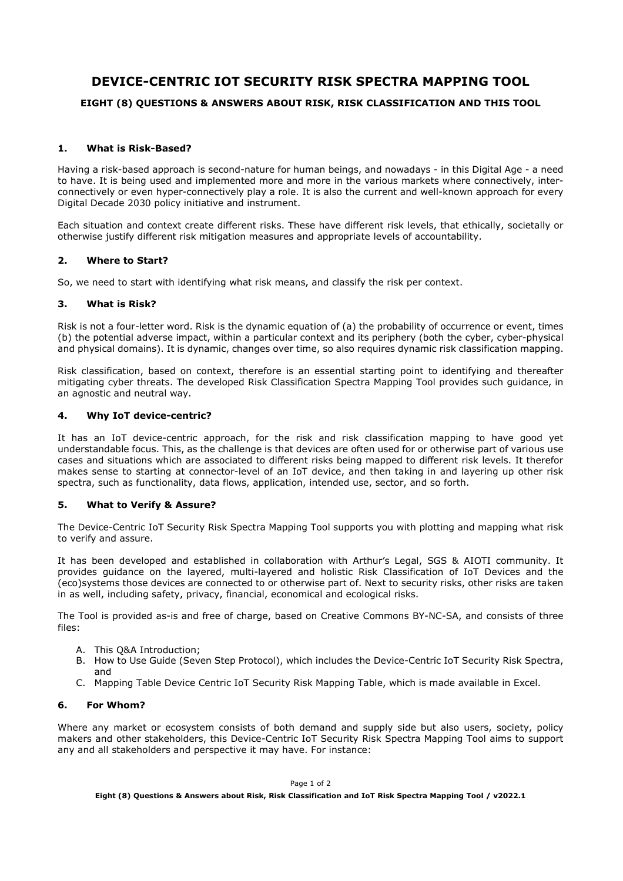# **DEVICE-CENTRIC IOT SECURITY RISK SPECTRA MAPPING TOOL**

## **EIGHT (8) QUESTIONS & ANSWERS ABOUT RISK, RISK CLASSIFICATION AND THIS TOOL**

#### **1. What is Risk-Based?**

Having a risk-based approach is second-nature for human beings, and nowadays - in this Digital Age - a need to have. It is being used and implemented more and more in the various markets where connectively, interconnectively or even hyper-connectively play a role. It is also the current and well-known approach for every Digital Decade 2030 policy initiative and instrument.

Each situation and context create different risks. These have different risk levels, that ethically, societally or otherwise justify different risk mitigation measures and appropriate levels of accountability.

#### **2. Where to Start?**

So, we need to start with identifying what risk means, and classify the risk per context.

#### **3. What is Risk?**

Risk is not a four-letter word. Risk is the dynamic equation of (a) the probability of occurrence or event, times (b) the potential adverse impact, within a particular context and its periphery (both the cyber, cyber-physical and physical domains). It is dynamic, changes over time, so also requires dynamic risk classification mapping.

Risk classification, based on context, therefore is an essential starting point to identifying and thereafter mitigating cyber threats. The developed Risk Classification Spectra Mapping Tool provides such guidance, in an agnostic and neutral way.

### **4. Why IoT device-centric?**

It has an IoT device-centric approach, for the risk and risk classification mapping to have good yet understandable focus. This, as the challenge is that devices are often used for or otherwise part of various use cases and situations which are associated to different risks being mapped to different risk levels. It therefor makes sense to starting at connector-level of an IoT device, and then taking in and layering up other risk spectra, such as functionality, data flows, application, intended use, sector, and so forth.

### **5. What to Verify & Assure?**

The Device-Centric IoT Security Risk Spectra Mapping Tool supports you with plotting and mapping what risk to verify and assure.

It has been developed and established in collaboration with Arthur's Legal, SGS & AIOTI community. It provides guidance on the layered, multi-layered and holistic Risk Classification of IoT Devices and the (eco)systems those devices are connected to or otherwise part of. Next to security risks, other risks are taken in as well, including safety, privacy, financial, economical and ecological risks.

The Tool is provided as-is and free of charge, based on Creative Commons BY-NC-SA, and consists of three files:

- A. This Q&A Introduction;
- B. How to Use Guide (Seven Step Protocol), which includes the Device-Centric IoT Security Risk Spectra, and
- C. Mapping Table Device Centric IoT Security Risk Mapping Table, which is made available in Excel.

### **6. For Whom?**

Where any market or ecosystem consists of both demand and supply side but also users, society, policy makers and other stakeholders, this Device-Centric IoT Security Risk Spectra Mapping Tool aims to support any and all stakeholders and perspective it may have. For instance: